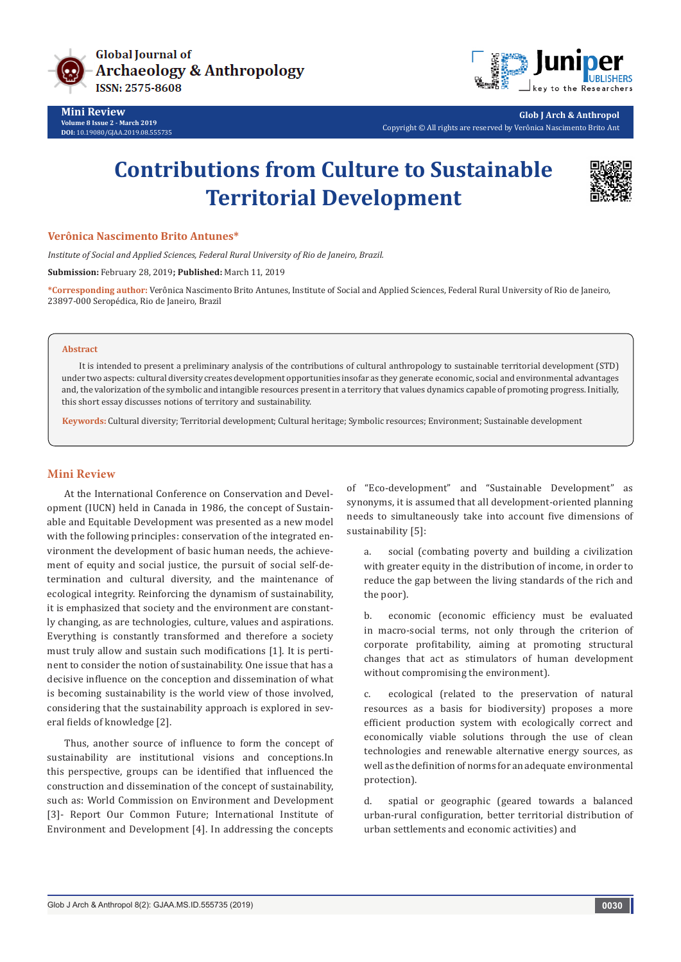

**Mini Review Volume 8 Issue 2 - March 2019 DOI:** [10.19080/GJAA.2019.08.555735](http://dx.doi.org/10.19080/GJAA.2019.08.555735)



**Glob J Arch & Anthropol** Copyright © All rights are reserved by Verônica Nascimento Brito Ant

# **Contributions from Culture to Sustainable Territorial Development**



#### **Verônica Nascimento Brito Antunes\***

*Institute of Social and Applied Sciences, Federal Rural University of Rio de Janeiro, Brazil.* 

**Submission:** February 28, 2019**; Published:** March 11, 2019

**\*Corresponding author:** Verônica Nascimento Brito Antunes, Institute of Social and Applied Sciences, Federal Rural University of Rio de Janeiro, 23897-000 Seropédica, Rio de Janeiro, Brazil

#### **Abstract**

It is intended to present a preliminary analysis of the contributions of cultural anthropology to sustainable territorial development (STD) under two aspects: cultural diversity creates development opportunities insofar as they generate economic, social and environmental advantages and, the valorization of the symbolic and intangible resources present in a territory that values dynamics capable of promoting progress. Initially, this short essay discusses notions of territory and sustainability.

**Keywords:** Cultural diversity; Territorial development; Cultural heritage; Symbolic resources; Environment; Sustainable development

### **Mini Review**

At the International Conference on Conservation and Development (IUCN) held in Canada in 1986, the concept of Sustainable and Equitable Development was presented as a new model with the following principles: conservation of the integrated environment the development of basic human needs, the achievement of equity and social justice, the pursuit of social self-determination and cultural diversity, and the maintenance of ecological integrity. Reinforcing the dynamism of sustainability, it is emphasized that society and the environment are constantly changing, as are technologies, culture, values and aspirations. Everything is constantly transformed and therefore a society must truly allow and sustain such modifications [1]. It is pertinent to consider the notion of sustainability. One issue that has a decisive influence on the conception and dissemination of what is becoming sustainability is the world view of those involved, considering that the sustainability approach is explored in several fields of knowledge [2].

Thus, another source of influence to form the concept of sustainability are institutional visions and conceptions.In this perspective, groups can be identified that influenced the construction and dissemination of the concept of sustainability, such as: World Commission on Environment and Development [3]- Report Our Common Future; International Institute of Environment and Development [4]. In addressing the concepts

of "Eco-development" and "Sustainable Development" as synonyms, it is assumed that all development-oriented planning needs to simultaneously take into account five dimensions of sustainability [5]:

a. social (combating poverty and building a civilization with greater equity in the distribution of income, in order to reduce the gap between the living standards of the rich and the poor).

b. economic (economic efficiency must be evaluated in macro-social terms, not only through the criterion of corporate profitability, aiming at promoting structural changes that act as stimulators of human development without compromising the environment).

c. ecological (related to the preservation of natural resources as a basis for biodiversity) proposes a more efficient production system with ecologically correct and economically viable solutions through the use of clean technologies and renewable alternative energy sources, as well as the definition of norms for an adequate environmental protection).

d. spatial or geographic (geared towards a balanced urban-rural configuration, better territorial distribution of urban settlements and economic activities) and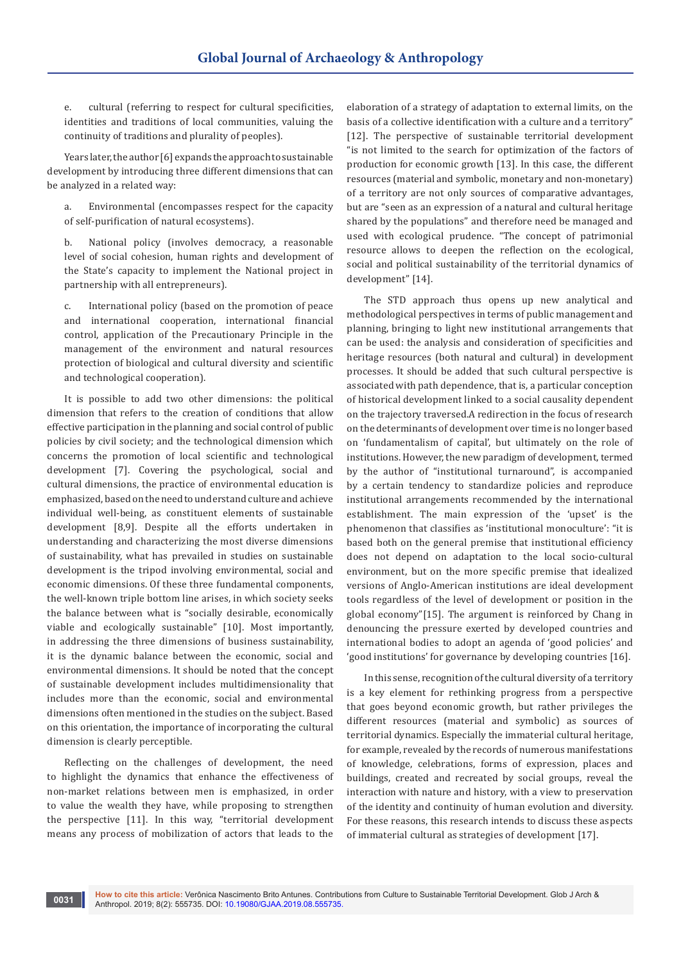e. cultural (referring to respect for cultural specificities, identities and traditions of local communities, valuing the continuity of traditions and plurality of peoples).

Years later, the author [6] expands the approach to sustainable development by introducing three different dimensions that can be analyzed in a related way:

a. Environmental (encompasses respect for the capacity of self-purification of natural ecosystems).

b. National policy (involves democracy, a reasonable level of social cohesion, human rights and development of the State's capacity to implement the National project in partnership with all entrepreneurs).

c. International policy (based on the promotion of peace and international cooperation, international financial control, application of the Precautionary Principle in the management of the environment and natural resources protection of biological and cultural diversity and scientific and technological cooperation).

It is possible to add two other dimensions: the political dimension that refers to the creation of conditions that allow effective participation in the planning and social control of public policies by civil society; and the technological dimension which concerns the promotion of local scientific and technological development [7]. Covering the psychological, social and cultural dimensions, the practice of environmental education is emphasized, based on the need to understand culture and achieve individual well-being, as constituent elements of sustainable development [8,9]. Despite all the efforts undertaken in understanding and characterizing the most diverse dimensions of sustainability, what has prevailed in studies on sustainable development is the tripod involving environmental, social and economic dimensions. Of these three fundamental components, the well-known triple bottom line arises, in which society seeks the balance between what is "socially desirable, economically viable and ecologically sustainable" [10]. Most importantly, in addressing the three dimensions of business sustainability, it is the dynamic balance between the economic, social and environmental dimensions. It should be noted that the concept of sustainable development includes multidimensionality that includes more than the economic, social and environmental dimensions often mentioned in the studies on the subject. Based on this orientation, the importance of incorporating the cultural dimension is clearly perceptible.

Reflecting on the challenges of development, the need to highlight the dynamics that enhance the effectiveness of non-market relations between men is emphasized, in order to value the wealth they have, while proposing to strengthen the perspective [11]. In this way, "territorial development means any process of mobilization of actors that leads to the

**0031**

elaboration of a strategy of adaptation to external limits, on the basis of a collective identification with a culture and a territory" [12]. The perspective of sustainable territorial development "is not limited to the search for optimization of the factors of production for economic growth [13]. In this case, the different resources (material and symbolic, monetary and non-monetary) of a territory are not only sources of comparative advantages, but are "seen as an expression of a natural and cultural heritage shared by the populations" and therefore need be managed and used with ecological prudence. "The concept of patrimonial resource allows to deepen the reflection on the ecological, social and political sustainability of the territorial dynamics of development" [14].

The STD approach thus opens up new analytical and methodological perspectives in terms of public management and planning, bringing to light new institutional arrangements that can be used: the analysis and consideration of specificities and heritage resources (both natural and cultural) in development processes. It should be added that such cultural perspective is associated with path dependence, that is, a particular conception of historical development linked to a social causality dependent on the trajectory traversed.A redirection in the focus of research on the determinants of development over time is no longer based on 'fundamentalism of capital', but ultimately on the role of institutions. However, the new paradigm of development, termed by the author of "institutional turnaround", is accompanied by a certain tendency to standardize policies and reproduce institutional arrangements recommended by the international establishment. The main expression of the 'upset' is the phenomenon that classifies as 'institutional monoculture': "it is based both on the general premise that institutional efficiency does not depend on adaptation to the local socio-cultural environment, but on the more specific premise that idealized versions of Anglo-American institutions are ideal development tools regardless of the level of development or position in the global economy"[15]. The argument is reinforced by Chang in denouncing the pressure exerted by developed countries and international bodies to adopt an agenda of 'good policies' and 'good institutions' for governance by developing countries [16].

In this sense, recognition of the cultural diversity of a territory is a key element for rethinking progress from a perspective that goes beyond economic growth, but rather privileges the different resources (material and symbolic) as sources of territorial dynamics. Especially the immaterial cultural heritage, for example, revealed by the records of numerous manifestations of knowledge, celebrations, forms of expression, places and buildings, created and recreated by social groups, reveal the interaction with nature and history, with a view to preservation of the identity and continuity of human evolution and diversity. For these reasons, this research intends to discuss these aspects of immaterial cultural as strategies of development [17].